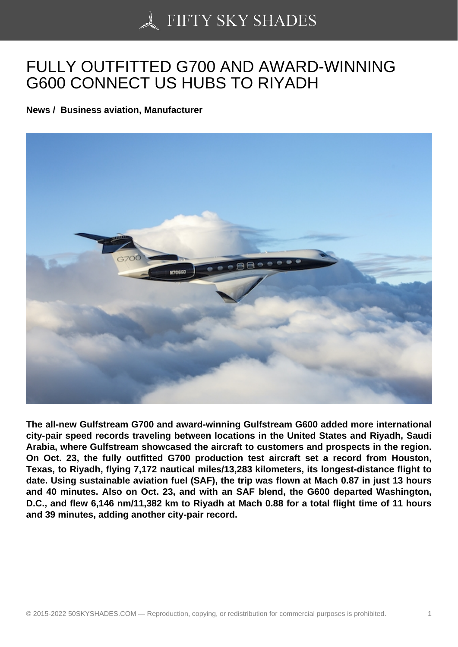## [FULLY OUTFITTED G](https://50skyshades.com)700 AND AWARD-WINNING G600 CONNECT US HUBS TO RIYADH

News / Business aviation, Manufacturer

The all-new Gulfstream G700 and award-winning Gulfstream G600 added more international city-pair speed records traveling between locations in the United States and Riyadh, Saudi Arabia, where Gulfstream showcased the aircraft to customers and prospects in the region. On Oct. 23, the fully outfitted G700 production test aircraft set a record from Houston, Texas, to Riyadh, flying 7,172 nautical miles/13,283 kilometers, its longest-distance flight to date. Using sustainable aviation fuel (SAF), the trip was flown at Mach 0.87 in just 13 hours and 40 minutes. Also on Oct. 23, and with an SAF blend, the G600 departed Washington, D.C., and flew 6,146 nm/11,382 km to Riyadh at Mach 0.88 for a total flight time of 11 hours and 39 minutes, adding another city-pair record.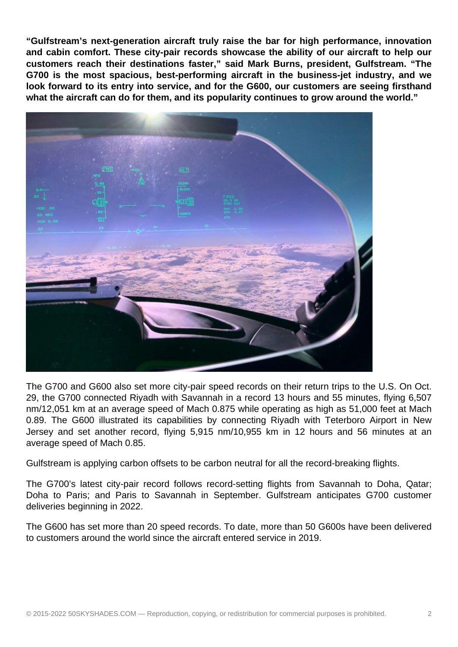**"Gulfstream's next-generation aircraft truly raise the bar for high performance, innovation and cabin comfort. These city-pair records showcase the ability of our aircraft to help our customers reach their destinations faster," said Mark Burns, president, Gulfstream. "The G700 is the most spacious, best-performing aircraft in the business-jet industry, and we look forward to its entry into service, and for the G600, our customers are seeing firsthand what the aircraft can do for them, and its popularity continues to grow around the world."**



The G700 and G600 also set more city-pair speed records on their return trips to the U.S. On Oct. 29, the G700 connected Riyadh with Savannah in a record 13 hours and 55 minutes, flying 6,507 nm/12,051 km at an average speed of Mach 0.875 while operating as high as 51,000 feet at Mach 0.89. The G600 illustrated its capabilities by connecting Riyadh with Teterboro Airport in New Jersey and set another record, flying 5,915 nm/10,955 km in 12 hours and 56 minutes at an average speed of Mach 0.85.

Gulfstream is applying carbon offsets to be carbon neutral for all the record-breaking flights.

The G700's latest city-pair record follows record-setting flights from Savannah to Doha, Qatar; Doha to Paris; and Paris to Savannah in September. Gulfstream anticipates G700 customer deliveries beginning in 2022.

The G600 has set more than 20 speed records. To date, more than 50 G600s have been delivered to customers around the world since the aircraft entered service in 2019.